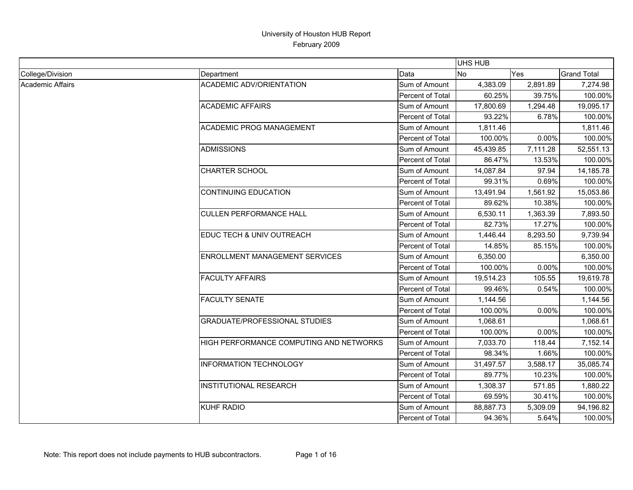|                  |                                         |                         | <b>UHS HUB</b> |          |                    |
|------------------|-----------------------------------------|-------------------------|----------------|----------|--------------------|
| College/Division | Department                              | Data                    | No             | Yes      | <b>Grand Total</b> |
| Academic Affairs | <b>ACADEMIC ADV/ORIENTATION</b>         | Sum of Amount           | 4,383.09       | 2,891.89 | 7,274.98           |
|                  |                                         | Percent of Total        | 60.25%         | 39.75%   | 100.00%            |
|                  | <b>ACADEMIC AFFAIRS</b>                 | Sum of Amount           | 17,800.69      | 1,294.48 | 19,095.17          |
|                  |                                         | Percent of Total        | 93.22%         | 6.78%    | 100.00%            |
|                  | ACADEMIC PROG MANAGEMENT                | Sum of Amount           | 1,811.46       |          | 1,811.46           |
|                  |                                         | <b>Percent of Total</b> | 100.00%        | 0.00%    | 100.00%            |
|                  | <b>ADMISSIONS</b>                       | Sum of Amount           | 45,439.85      | 7,111.28 | 52,551.13          |
|                  |                                         | Percent of Total        | 86.47%         | 13.53%   | 100.00%            |
|                  | <b>CHARTER SCHOOL</b>                   | Sum of Amount           | 14,087.84      | 97.94    | 14,185.78          |
|                  |                                         | Percent of Total        | 99.31%         | 0.69%    | 100.00%            |
|                  | <b>CONTINUING EDUCATION</b>             | Sum of Amount           | 13,491.94      | 1,561.92 | 15,053.86          |
|                  |                                         | Percent of Total        | 89.62%         | 10.38%   | 100.00%            |
|                  | <b>CULLEN PERFORMANCE HALL</b>          | Sum of Amount           | 6,530.11       | 1,363.39 | 7,893.50           |
|                  |                                         | <b>Percent of Total</b> | 82.73%         | 17.27%   | 100.00%            |
|                  | EDUC TECH & UNIV OUTREACH               | Sum of Amount           | 1,446.44       | 8,293.50 | 9,739.94           |
|                  |                                         | Percent of Total        | 14.85%         | 85.15%   | 100.00%            |
|                  | <b>ENROLLMENT MANAGEMENT SERVICES</b>   | Sum of Amount           | 6,350.00       |          | 6,350.00           |
|                  |                                         | Percent of Total        | 100.00%        | 0.00%    | 100.00%            |
|                  | <b>FACULTY AFFAIRS</b>                  | Sum of Amount           | 19,514.23      | 105.55   | 19,619.78          |
|                  |                                         | Percent of Total        | 99.46%         | 0.54%    | 100.00%            |
|                  | <b>FACULTY SENATE</b>                   | Sum of Amount           | 1,144.56       |          | 1,144.56           |
|                  |                                         | Percent of Total        | 100.00%        | 0.00%    | 100.00%            |
|                  | <b>GRADUATE/PROFESSIONAL STUDIES</b>    | Sum of Amount           | 1,068.61       |          | 1,068.61           |
|                  |                                         | Percent of Total        | 100.00%        | 0.00%    | 100.00%            |
|                  | HIGH PERFORMANCE COMPUTING AND NETWORKS | Sum of Amount           | 7,033.70       | 118.44   | 7,152.14           |
|                  |                                         | Percent of Total        | 98.34%         | 1.66%    | 100.00%            |
|                  | <b>INFORMATION TECHNOLOGY</b>           | Sum of Amount           | 31,497.57      | 3,588.17 | 35,085.74          |
|                  |                                         | Percent of Total        | 89.77%         | 10.23%   | 100.00%            |
|                  | <b>INSTITUTIONAL RESEARCH</b>           | Sum of Amount           | 1,308.37       | 571.85   | 1,880.22           |
|                  |                                         | Percent of Total        | 69.59%         | 30.41%   | 100.00%            |
|                  | <b>KUHF RADIO</b>                       | Sum of Amount           | 88,887.73      | 5,309.09 | 94,196.82          |
|                  |                                         | Percent of Total        | 94.36%         | 5.64%    | 100.00%            |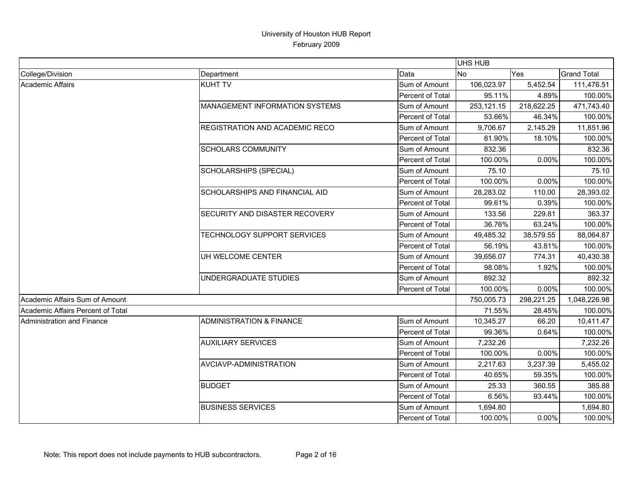|                                   |                                     |                  | <b>UHS HUB</b> |            |                    |
|-----------------------------------|-------------------------------------|------------------|----------------|------------|--------------------|
| College/Division                  | Department                          | Data             | No             | Yes        | <b>Grand Total</b> |
| <b>Academic Affairs</b>           | <b>KUHT TV</b>                      | Sum of Amount    | 106,023.97     | 5,452.54   | 111,476.51         |
|                                   |                                     | Percent of Total | 95.11%         | 4.89%      | 100.00%            |
|                                   | MANAGEMENT INFORMATION SYSTEMS      | Sum of Amount    | 253,121.15     | 218,622.25 | 471,743.40         |
|                                   |                                     | Percent of Total | 53.66%         | 46.34%     | 100.00%            |
|                                   | REGISTRATION AND ACADEMIC RECO      | Sum of Amount    | 9,706.67       | 2,145.29   | 11,851.96          |
|                                   |                                     | Percent of Total | 81.90%         | 18.10%     | 100.00%            |
|                                   | <b>SCHOLARS COMMUNITY</b>           | Sum of Amount    | 832.36         |            | 832.36             |
|                                   |                                     | Percent of Total | 100.00%        | 0.00%      | 100.00%            |
|                                   | SCHOLARSHIPS (SPECIAL)              | Sum of Amount    | 75.10          |            | 75.10              |
|                                   |                                     | Percent of Total | 100.00%        | 0.00%      | 100.00%            |
|                                   | SCHOLARSHIPS AND FINANCIAL AID      | Sum of Amount    | 28,283.02      | 110.00     | 28,393.02          |
|                                   |                                     | Percent of Total | 99.61%         | 0.39%      | 100.00%            |
|                                   | SECURITY AND DISASTER RECOVERY      | Sum of Amount    | 133.56         | 229.81     | 363.37             |
|                                   |                                     | Percent of Total | 36.76%         | 63.24%     | 100.00%            |
|                                   | TECHNOLOGY SUPPORT SERVICES         | Sum of Amount    | 49,485.32      | 38,579.55  | 88,064.87          |
|                                   |                                     | Percent of Total | 56.19%         | 43.81%     | 100.00%            |
|                                   | UH WELCOME CENTER                   | Sum of Amount    | 39,656.07      | 774.31     | 40,430.38          |
|                                   |                                     | Percent of Total | 98.08%         | 1.92%      | 100.00%            |
|                                   | UNDERGRADUATE STUDIES               | Sum of Amount    | 892.32         |            | 892.32             |
|                                   |                                     | Percent of Total | 100.00%        | 0.00%      | 100.00%            |
| Academic Affairs Sum of Amount    |                                     |                  | 750,005.73     | 298,221.25 | 1,048,226.98       |
| Academic Affairs Percent of Total |                                     |                  | 71.55%         | 28.45%     | 100.00%            |
| <b>Administration and Finance</b> | <b>ADMINISTRATION &amp; FINANCE</b> | Sum of Amount    | 10,345.27      | 66.20      | 10,411.47          |
|                                   |                                     | Percent of Total | 99.36%         | 0.64%      | 100.00%            |
|                                   | <b>AUXILIARY SERVICES</b>           | Sum of Amount    | 7,232.26       |            | 7,232.26           |
|                                   |                                     | Percent of Total | 100.00%        | 0.00%      | 100.00%            |
|                                   | AVCIAVP-ADMINISTRATION              | Sum of Amount    | 2,217.63       | 3,237.39   | 5,455.02           |
|                                   |                                     | Percent of Total | 40.65%         | 59.35%     | 100.00%            |
|                                   | <b>BUDGET</b>                       | Sum of Amount    | 25.33          | 360.55     | 385.88             |
|                                   |                                     | Percent of Total | 6.56%          | 93.44%     | 100.00%            |
|                                   | <b>BUSINESS SERVICES</b>            | Sum of Amount    | 1,694.80       |            | 1,694.80           |
|                                   |                                     | Percent of Total | 100.00%        | 0.00%      | 100.00%            |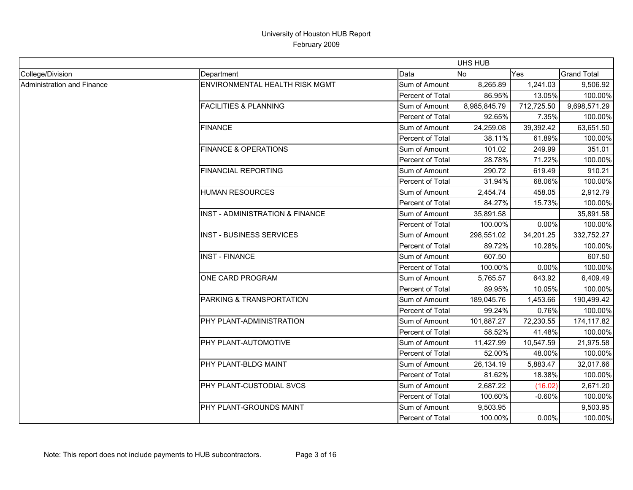|                            |                                       |                  | <b>UHS HUB</b> |            |                    |
|----------------------------|---------------------------------------|------------------|----------------|------------|--------------------|
| College/Division           | Department                            | Data             | <b>No</b>      | <b>Yes</b> | <b>Grand Total</b> |
| Administration and Finance | <b>ENVIRONMENTAL HEALTH RISK MGMT</b> | Sum of Amount    | 8,265.89       | 1,241.03   | 9,506.92           |
|                            |                                       | Percent of Total | 86.95%         | 13.05%     | 100.00%            |
|                            | <b>FACILITIES &amp; PLANNING</b>      | Sum of Amount    | 8,985,845.79   | 712,725.50 | 9,698,571.29       |
|                            |                                       | Percent of Total | 92.65%         | 7.35%      | 100.00%            |
|                            | <b>FINANCE</b>                        | Sum of Amount    | 24,259.08      | 39,392.42  | 63,651.50          |
|                            |                                       | Percent of Total | 38.11%         | 61.89%     | 100.00%            |
|                            | <b>FINANCE &amp; OPERATIONS</b>       | Sum of Amount    | 101.02         | 249.99     | 351.01             |
|                            |                                       | Percent of Total | 28.78%         | 71.22%     | 100.00%            |
|                            | <b>FINANCIAL REPORTING</b>            | Sum of Amount    | 290.72         | 619.49     | 910.21             |
|                            |                                       | Percent of Total | 31.94%         | 68.06%     | 100.00%            |
|                            | <b>HUMAN RESOURCES</b>                | Sum of Amount    | 2,454.74       | 458.05     | 2,912.79           |
|                            |                                       | Percent of Total | 84.27%         | 15.73%     | 100.00%            |
|                            | INST - ADMINISTRATION & FINANCE       | Sum of Amount    | 35,891.58      |            | 35,891.58          |
|                            |                                       | Percent of Total | 100.00%        | 0.00%      | 100.00%            |
|                            | <b>INST - BUSINESS SERVICES</b>       | Sum of Amount    | 298,551.02     | 34,201.25  | 332,752.27         |
|                            |                                       | Percent of Total | 89.72%         | 10.28%     | 100.00%            |
|                            | <b>INST - FINANCE</b>                 | Sum of Amount    | 607.50         |            | 607.50             |
|                            |                                       | Percent of Total | 100.00%        | 0.00%      | 100.00%            |
|                            | ONE CARD PROGRAM                      | Sum of Amount    | 5,765.57       | 643.92     | 6,409.49           |
|                            |                                       | Percent of Total | 89.95%         | 10.05%     | 100.00%            |
|                            | PARKING & TRANSPORTATION              | Sum of Amount    | 189,045.76     | 1,453.66   | 190,499.42         |
|                            |                                       | Percent of Total | 99.24%         | 0.76%      | 100.00%            |
|                            | PHY PLANT-ADMINISTRATION              | Sum of Amount    | 101,887.27     | 72,230.55  | 174,117.82         |
|                            |                                       | Percent of Total | 58.52%         | 41.48%     | 100.00%            |
|                            | PHY PLANT-AUTOMOTIVE                  | Sum of Amount    | 11,427.99      | 10,547.59  | 21,975.58          |
|                            |                                       | Percent of Total | 52.00%         | 48.00%     | 100.00%            |
|                            | PHY PLANT-BLDG MAINT                  | Sum of Amount    | 26,134.19      | 5,883.47   | 32,017.66          |
|                            |                                       | Percent of Total | 81.62%         | 18.38%     | 100.00%            |
|                            | PHY PLANT-CUSTODIAL SVCS              | Sum of Amount    | 2,687.22       | (16.02)    | 2,671.20           |
|                            |                                       | Percent of Total | 100.60%        | $-0.60%$   | 100.00%            |
|                            | PHY PLANT-GROUNDS MAINT               | Sum of Amount    | 9,503.95       |            | 9,503.95           |
|                            |                                       | Percent of Total | 100.00%        | 0.00%      | 100.00%            |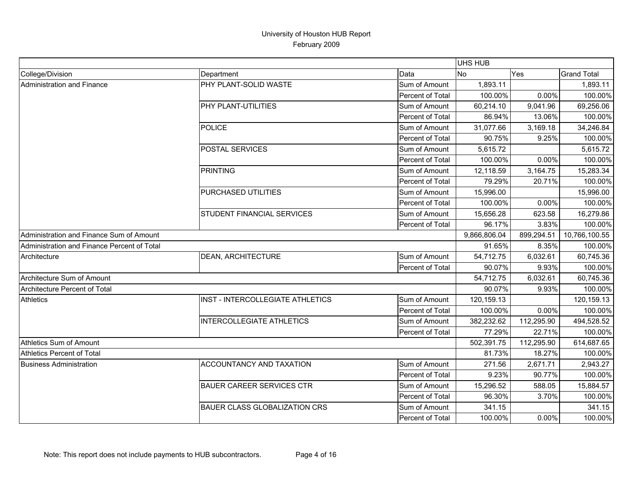|                                             |                                      |                  | <b>UHS HUB</b> |               |                    |
|---------------------------------------------|--------------------------------------|------------------|----------------|---------------|--------------------|
| College/Division                            | Department                           | Data             | No             | Yes           | <b>Grand Total</b> |
| Administration and Finance                  | PHY PLANT-SOLID WASTE                | Sum of Amount    | 1,893.11       |               | 1,893.11           |
|                                             |                                      | Percent of Total | 100.00%        | 0.00%         | 100.00%            |
|                                             | PHY PLANT-UTILITIES                  | Sum of Amount    | 60,214.10      | 9,041.96      | 69,256.06          |
|                                             |                                      | Percent of Total | 86.94%         | 13.06%        | 100.00%            |
|                                             | POLICE                               | Sum of Amount    | 31,077.66      | 3,169.18      | 34,246.84          |
|                                             |                                      | Percent of Total | 90.75%         | 9.25%         | 100.00%            |
|                                             | <b>POSTAL SERVICES</b>               | Sum of Amount    | 5,615.72       |               | 5,615.72           |
|                                             |                                      | Percent of Total | 100.00%        | 0.00%         | 100.00%            |
|                                             | <b>PRINTING</b>                      | Sum of Amount    | 12,118.59      | 3,164.75      | 15,283.34          |
|                                             |                                      | Percent of Total | 79.29%         | 20.71%        | 100.00%            |
|                                             | PURCHASED UTILITIES                  | Sum of Amount    | 15,996.00      |               | 15,996.00          |
|                                             |                                      | Percent of Total | 100.00%        | 0.00%         | 100.00%            |
|                                             | <b>STUDENT FINANCIAL SERVICES</b>    | Sum of Amount    | 15,656.28      | 623.58        | 16,279.86          |
|                                             |                                      | Percent of Total | 96.17%         | 3.83%         | 100.00%            |
| Administration and Finance Sum of Amount    |                                      | 9,866,806.04     | 899,294.51     | 10,766,100.55 |                    |
| Administration and Finance Percent of Total |                                      |                  | 91.65%         | 8.35%         | 100.00%            |
| Architecture                                | <b>DEAN, ARCHITECTURE</b>            | Sum of Amount    | 54,712.75      | 6,032.61      | 60,745.36          |
|                                             |                                      | Percent of Total | 90.07%         | 9.93%         | 100.00%            |
| Architecture Sum of Amount                  |                                      |                  | 54,712.75      | 6,032.61      | 60,745.36          |
| Architecture Percent of Total               |                                      |                  | 90.07%         | 9.93%         | 100.00%            |
| <b>Athletics</b>                            | INST - INTERCOLLEGIATE ATHLETICS     | Sum of Amount    | 120,159.13     |               | 120,159.13         |
|                                             |                                      | Percent of Total | 100.00%        | 0.00%         | 100.00%            |
|                                             | <b>INTERCOLLEGIATE ATHLETICS</b>     | Sum of Amount    | 382,232.62     | 112,295.90    | 494,528.52         |
|                                             |                                      | Percent of Total | 77.29%         | 22.71%        | 100.00%            |
| Athletics Sum of Amount                     |                                      |                  | 502,391.75     | 112,295.90    | 614,687.65         |
| <b>Athletics Percent of Total</b>           |                                      |                  | 81.73%         | 18.27%        | 100.00%            |
| <b>Business Administration</b>              | ACCOUNTANCY AND TAXATION             | Sum of Amount    | 271.56         | 2,671.71      | 2,943.27           |
|                                             |                                      | Percent of Total | 9.23%          | 90.77%        | 100.00%            |
|                                             | <b>BAUER CAREER SERVICES CTR</b>     | Sum of Amount    | 15,296.52      | 588.05        | 15,884.57          |
|                                             |                                      | Percent of Total | 96.30%         | 3.70%         | 100.00%            |
|                                             | <b>BAUER CLASS GLOBALIZATION CRS</b> | Sum of Amount    | 341.15         |               | 341.15             |
|                                             |                                      | Percent of Total | 100.00%        | 0.00%         | 100.00%            |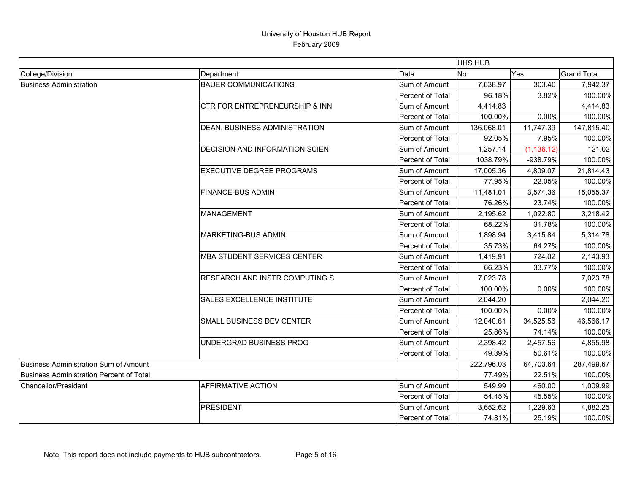|                                          |                                       |                  | <b>UHS HUB</b> |             |                    |
|------------------------------------------|---------------------------------------|------------------|----------------|-------------|--------------------|
| College/Division                         | Department                            | Data             | No             | Yes         | <b>Grand Total</b> |
| <b>Business Administration</b>           | <b>BAUER COMMUNICATIONS</b>           | Sum of Amount    | 7,638.97       | 303.40      | 7,942.37           |
|                                          |                                       | Percent of Total | 96.18%         | 3.82%       | 100.00%            |
|                                          | CTR FOR ENTREPRENEURSHIP & INN        | Sum of Amount    | 4,414.83       |             | 4,414.83           |
|                                          |                                       | Percent of Total | 100.00%        | 0.00%       | 100.00%            |
|                                          | DEAN, BUSINESS ADMINISTRATION         | Sum of Amount    | 136,068.01     | 11,747.39   | 147,815.40         |
|                                          |                                       | Percent of Total | 92.05%         | 7.95%       | 100.00%            |
|                                          | <b>DECISION AND INFORMATION SCIEN</b> | Sum of Amount    | 1,257.14       | (1, 136.12) | 121.02             |
|                                          |                                       | Percent of Total | 1038.79%       | -938.79%    | 100.00%            |
|                                          | <b>EXECUTIVE DEGREE PROGRAMS</b>      | Sum of Amount    | 17,005.36      | 4,809.07    | 21,814.43          |
|                                          |                                       | Percent of Total | 77.95%         | 22.05%      | 100.00%            |
|                                          | <b>FINANCE-BUS ADMIN</b>              | Sum of Amount    | 11,481.01      | 3,574.36    | 15,055.37          |
|                                          |                                       | Percent of Total | 76.26%         | 23.74%      | 100.00%            |
|                                          | <b>MANAGEMENT</b>                     | Sum of Amount    | 2,195.62       | 1,022.80    | 3,218.42           |
|                                          |                                       | Percent of Total | 68.22%         | 31.78%      | 100.00%            |
|                                          | <b>MARKETING-BUS ADMIN</b>            | Sum of Amount    | 1,898.94       | 3,415.84    | 5,314.78           |
|                                          |                                       | Percent of Total | 35.73%         | 64.27%      | 100.00%            |
|                                          | <b>MBA STUDENT SERVICES CENTER</b>    | Sum of Amount    | 1,419.91       | 724.02      | 2,143.93           |
|                                          |                                       | Percent of Total | 66.23%         | 33.77%      | 100.00%            |
|                                          | RESEARCH AND INSTR COMPUTING S        | Sum of Amount    | 7,023.78       |             | 7,023.78           |
|                                          |                                       | Percent of Total | 100.00%        | 0.00%       | 100.00%            |
|                                          | <b>SALES EXCELLENCE INSTITUTE</b>     | Sum of Amount    | 2,044.20       |             | 2,044.20           |
|                                          |                                       | Percent of Total | 100.00%        | 0.00%       | 100.00%            |
|                                          | SMALL BUSINESS DEV CENTER             | Sum of Amount    | 12,040.61      | 34,525.56   | 46,566.17          |
|                                          |                                       | Percent of Total | 25.86%         | 74.14%      | 100.00%            |
|                                          | UNDERGRAD BUSINESS PROG               | Sum of Amount    | 2,398.42       | 2,457.56    | 4,855.98           |
|                                          |                                       | Percent of Total | 49.39%         | 50.61%      | 100.00%            |
| Business Administration Sum of Amount    |                                       |                  | 222,796.03     | 64,703.64   | 287,499.67         |
| Business Administration Percent of Total |                                       |                  | 77.49%         | 22.51%      | 100.00%            |
| Chancellor/President                     | <b>AFFIRMATIVE ACTION</b>             | Sum of Amount    | 549.99         | 460.00      | 1,009.99           |
|                                          |                                       | Percent of Total | 54.45%         | 45.55%      | 100.00%            |
|                                          | <b>PRESIDENT</b>                      | Sum of Amount    | 3,652.62       | 1,229.63    | 4,882.25           |
|                                          |                                       | Percent of Total | 74.81%         | 25.19%      | 100.00%            |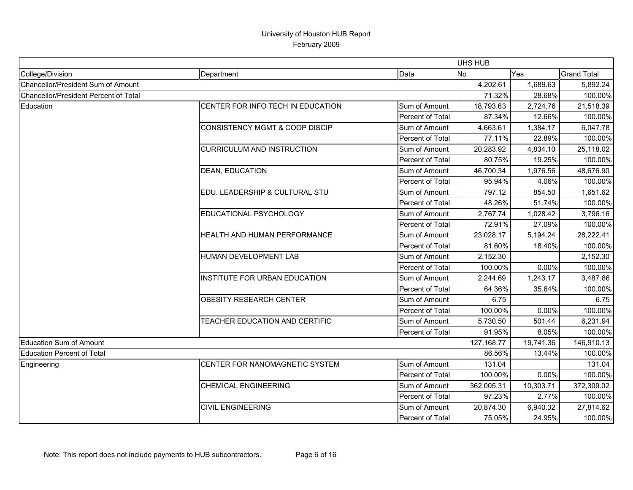|                                       |                                           |                  | <b>UHS HUB</b> |           |                    |
|---------------------------------------|-------------------------------------------|------------------|----------------|-----------|--------------------|
| College/Division                      | Department                                | Data             | No             | Yes       | <b>Grand Total</b> |
| Chancellor/President Sum of Amount    |                                           |                  | 4,202.61       | 1,689.63  | 5,892.24           |
| Chancellor/President Percent of Total |                                           |                  | 71.32%         | 28.68%    | 100.00%            |
| Education                             | CENTER FOR INFO TECH IN EDUCATION         | Sum of Amount    | 18,793.63      | 2,724.76  | 21,518.39          |
|                                       |                                           | Percent of Total | 87.34%         | 12.66%    | 100.00%            |
|                                       | <b>CONSISTENCY MGMT &amp; COOP DISCIP</b> | Sum of Amount    | 4,663.61       | 1,384.17  | 6,047.78           |
|                                       |                                           | Percent of Total | 77.11%         | 22.89%    | 100.00%            |
|                                       | <b>CURRICULUM AND INSTRUCTION</b>         | Sum of Amount    | 20,283.92      | 4,834.10  | 25,118.02          |
|                                       |                                           | Percent of Total | 80.75%         | 19.25%    | 100.00%            |
|                                       | <b>DEAN, EDUCATION</b>                    | Sum of Amount    | 46,700.34      | 1,976.56  | 48,676.90          |
|                                       |                                           | Percent of Total | 95.94%         | 4.06%     | 100.00%            |
|                                       | EDU. LEADERSHIP & CULTURAL STU            | Sum of Amount    | 797.12         | 854.50    | 1,651.62           |
|                                       |                                           | Percent of Total | 48.26%         | 51.74%    | 100.00%            |
|                                       | EDUCATIONAL PSYCHOLOGY                    | Sum of Amount    | 2,767.74       | 1,028.42  | 3,796.16           |
|                                       |                                           | Percent of Total | 72.91%         | 27.09%    | 100.00%            |
|                                       | HEALTH AND HUMAN PERFORMANCE              | Sum of Amount    | 23,028.17      | 5,194.24  | 28,222.41          |
|                                       |                                           | Percent of Total | 81.60%         | 18.40%    | 100.00%            |
|                                       | HUMAN DEVELOPMENT LAB                     | Sum of Amount    | 2,152.30       |           | 2,152.30           |
|                                       |                                           | Percent of Total | 100.00%        | 0.00%     | 100.00%            |
|                                       | INSTITUTE FOR URBAN EDUCATION             | Sum of Amount    | 2,244.69       | 1,243.17  | 3,487.86           |
|                                       |                                           | Percent of Total | 64.36%         | 35.64%    | 100.00%            |
|                                       | <b>OBESITY RESEARCH CENTER</b>            | Sum of Amount    | 6.75           |           | 6.75               |
|                                       |                                           | Percent of Total | 100.00%        | 0.00%     | 100.00%            |
|                                       | TEACHER EDUCATION AND CERTIFIC            | Sum of Amount    | 5,730.50       | 501.44    | 6,231.94           |
|                                       |                                           | Percent of Total | 91.95%         | 8.05%     | 100.00%            |
| <b>Education Sum of Amount</b>        |                                           |                  | 127,168.77     | 19,741.36 | 146,910.13         |
| <b>Education Percent of Total</b>     |                                           |                  | 86.56%         | 13.44%    | 100.00%            |
| Engineering                           | CENTER FOR NANOMAGNETIC SYSTEM            | Sum of Amount    | 131.04         |           | 131.04             |
|                                       |                                           | Percent of Total | 100.00%        | 0.00%     | 100.00%            |
|                                       | <b>CHEMICAL ENGINEERING</b>               | Sum of Amount    | 362,005.31     | 10,303.71 | 372,309.02         |
|                                       |                                           | Percent of Total | 97.23%         | 2.77%     | 100.00%            |
|                                       | <b>CIVIL ENGINEERING</b>                  | Sum of Amount    | 20,874.30      | 6,940.32  | 27,814.62          |
|                                       |                                           | Percent of Total | 75.05%         | 24.95%    | 100.00%            |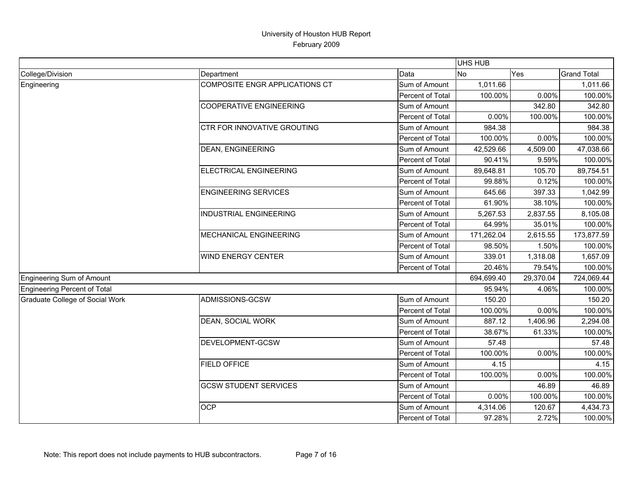|                                        |                                |                  | UHS HUB    |           |                    |
|----------------------------------------|--------------------------------|------------------|------------|-----------|--------------------|
| College/Division                       | Department                     | Data             | <b>No</b>  | Yes       | <b>Grand Total</b> |
| Engineering                            | COMPOSITE ENGR APPLICATIONS CT | Sum of Amount    | 1,011.66   |           | 1,011.66           |
|                                        |                                | Percent of Total | 100.00%    | 0.00%     | 100.00%            |
|                                        | <b>COOPERATIVE ENGINEERING</b> | Sum of Amount    |            | 342.80    | 342.80             |
|                                        |                                | Percent of Total | 0.00%      | 100.00%   | 100.00%            |
|                                        | CTR FOR INNOVATIVE GROUTING    | Sum of Amount    | 984.38     |           | 984.38             |
|                                        |                                | Percent of Total | 100.00%    | 0.00%     | 100.00%            |
|                                        | <b>DEAN, ENGINEERING</b>       | Sum of Amount    | 42,529.66  | 4,509.00  | 47,038.66          |
|                                        |                                | Percent of Total | 90.41%     | 9.59%     | 100.00%            |
|                                        | ELECTRICAL ENGINEERING         | Sum of Amount    | 89,648.81  | 105.70    | 89,754.51          |
|                                        |                                | Percent of Total | 99.88%     | 0.12%     | 100.00%            |
|                                        | <b>ENGINEERING SERVICES</b>    | Sum of Amount    | 645.66     | 397.33    | 1,042.99           |
|                                        |                                | Percent of Total | 61.90%     | 38.10%    | 100.00%            |
|                                        | <b>INDUSTRIAL ENGINEERING</b>  | Sum of Amount    | 5,267.53   | 2,837.55  | 8,105.08           |
|                                        |                                | Percent of Total | 64.99%     | 35.01%    | 100.00%            |
|                                        | <b>MECHANICAL ENGINEERING</b>  | Sum of Amount    | 171,262.04 | 2,615.55  | 173,877.59         |
|                                        |                                | Percent of Total | 98.50%     | 1.50%     | 100.00%            |
|                                        | <b>WIND ENERGY CENTER</b>      | Sum of Amount    | 339.01     | 1,318.08  | 1,657.09           |
|                                        |                                | Percent of Total | 20.46%     | 79.54%    | 100.00%            |
| Engineering Sum of Amount              |                                |                  | 694,699.40 | 29,370.04 | 724,069.44         |
| <b>Engineering Percent of Total</b>    |                                |                  | 95.94%     | 4.06%     | 100.00%            |
| <b>Graduate College of Social Work</b> | ADMISSIONS-GCSW                | Sum of Amount    | 150.20     |           | 150.20             |
|                                        |                                | Percent of Total | 100.00%    | 0.00%     | 100.00%            |
|                                        | <b>DEAN, SOCIAL WORK</b>       | Sum of Amount    | 887.12     | 1,406.96  | 2,294.08           |
|                                        |                                | Percent of Total | 38.67%     | 61.33%    | 100.00%            |
|                                        | DEVELOPMENT-GCSW               | Sum of Amount    | 57.48      |           | 57.48              |
|                                        |                                | Percent of Total | 100.00%    | 0.00%     | 100.00%            |
|                                        | <b>FIELD OFFICE</b>            | Sum of Amount    | 4.15       |           | 4.15               |
|                                        |                                | Percent of Total | 100.00%    | 0.00%     | 100.00%            |
|                                        | <b>GCSW STUDENT SERVICES</b>   | Sum of Amount    |            | 46.89     | 46.89              |
|                                        |                                | Percent of Total | 0.00%      | 100.00%   | 100.00%            |
|                                        | <b>OCP</b>                     | Sum of Amount    | 4,314.06   | 120.67    | 4,434.73           |
|                                        |                                | Percent of Total | 97.28%     | 2.72%     | 100.00%            |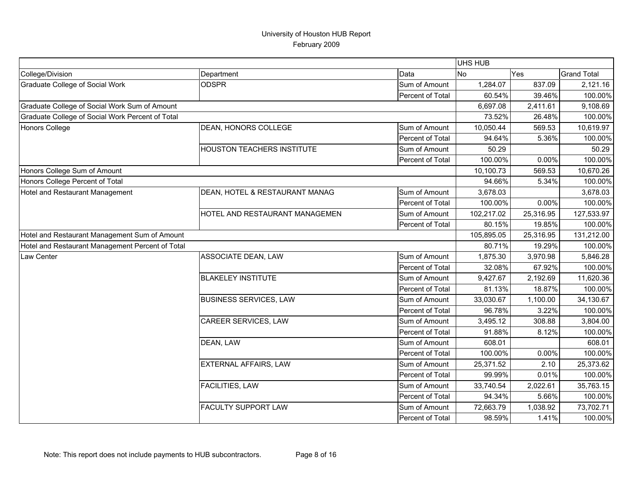|                                                  |                                   |                  | UHS HUB    |           |                    |
|--------------------------------------------------|-----------------------------------|------------------|------------|-----------|--------------------|
| College/Division                                 | Department                        | Data             | No         | Yes       | <b>Grand Total</b> |
| Graduate College of Social Work                  | <b>ODSPR</b>                      | Sum of Amount    | 1,284.07   | 837.09    | 2,121.16           |
|                                                  |                                   | Percent of Total | 60.54%     | 39.46%    | 100.00%            |
| Graduate College of Social Work Sum of Amount    |                                   |                  | 6,697.08   | 2,411.61  | 9,108.69           |
| Graduate College of Social Work Percent of Total |                                   |                  | 73.52%     | 26.48%    | 100.00%            |
| <b>Honors College</b>                            | DEAN, HONORS COLLEGE              | Sum of Amount    | 10,050.44  | 569.53    | 10,619.97          |
|                                                  |                                   | Percent of Total | 94.64%     | 5.36%     | 100.00%            |
|                                                  | <b>HOUSTON TEACHERS INSTITUTE</b> | Sum of Amount    | 50.29      |           | 50.29              |
|                                                  |                                   | Percent of Total | 100.00%    | 0.00%     | 100.00%            |
| Honors College Sum of Amount                     |                                   |                  | 10,100.73  | 569.53    | 10,670.26          |
| Honors College Percent of Total                  |                                   |                  | 94.66%     | 5.34%     | 100.00%            |
| Hotel and Restaurant Management                  | DEAN, HOTEL & RESTAURANT MANAG    | Sum of Amount    | 3,678.03   |           | 3,678.03           |
|                                                  |                                   | Percent of Total | 100.00%    | 0.00%     | 100.00%            |
|                                                  | HOTEL AND RESTAURANT MANAGEMEN    | Sum of Amount    | 102,217.02 | 25,316.95 | 127,533.97         |
|                                                  |                                   | Percent of Total | 80.15%     | 19.85%    | 100.00%            |
| Hotel and Restaurant Management Sum of Amount    |                                   |                  | 105,895.05 | 25,316.95 | 131,212.00         |
| Hotel and Restaurant Management Percent of Total |                                   |                  | 80.71%     | 19.29%    | 100.00%            |
| Law Center                                       | <b>ASSOCIATE DEAN, LAW</b>        | Sum of Amount    | 1,875.30   | 3,970.98  | 5,846.28           |
|                                                  |                                   | Percent of Total | 32.08%     | 67.92%    | 100.00%            |
|                                                  | <b>BLAKELEY INSTITUTE</b>         | Sum of Amount    | 9,427.67   | 2,192.69  | 11,620.36          |
|                                                  |                                   | Percent of Total | 81.13%     | 18.87%    | 100.00%            |
|                                                  | <b>BUSINESS SERVICES, LAW</b>     | Sum of Amount    | 33,030.67  | 1,100.00  | 34,130.67          |
|                                                  |                                   | Percent of Total | 96.78%     | 3.22%     | 100.00%            |
|                                                  | CAREER SERVICES, LAW              | Sum of Amount    | 3,495.12   | 308.88    | 3,804.00           |
|                                                  |                                   | Percent of Total | 91.88%     | 8.12%     | 100.00%            |
|                                                  | DEAN, LAW                         | Sum of Amount    | 608.01     |           | 608.01             |
|                                                  |                                   | Percent of Total | 100.00%    | 0.00%     | 100.00%            |
|                                                  | EXTERNAL AFFAIRS, LAW             | Sum of Amount    | 25,371.52  | 2.10      | 25,373.62          |
|                                                  |                                   | Percent of Total | 99.99%     | 0.01%     | 100.00%            |
|                                                  | <b>FACILITIES, LAW</b>            | Sum of Amount    | 33,740.54  | 2,022.61  | 35,763.15          |
|                                                  |                                   | Percent of Total | 94.34%     | 5.66%     | 100.00%            |
|                                                  | <b>FACULTY SUPPORT LAW</b>        | Sum of Amount    | 72,663.79  | 1,038.92  | 73,702.71          |
|                                                  |                                   | Percent of Total | 98.59%     | 1.41%     | 100.00%            |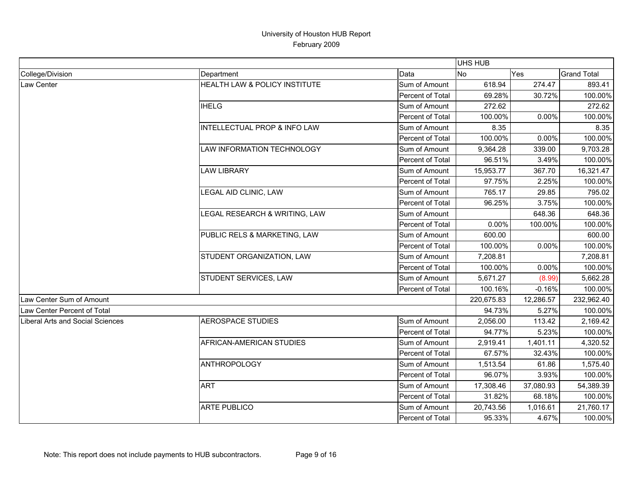|                                  |                                         |                  | UHS HUB    |           |                    |
|----------------------------------|-----------------------------------------|------------------|------------|-----------|--------------------|
| College/Division                 | Department                              | Data             | <b>No</b>  | Yes       | <b>Grand Total</b> |
| Law Center                       | HEALTH LAW & POLICY INSTITUTE           | Sum of Amount    | 618.94     | 274.47    | 893.41             |
|                                  |                                         | Percent of Total | 69.28%     | 30.72%    | 100.00%            |
|                                  | <b>IHELG</b>                            | Sum of Amount    | 272.62     |           | 272.62             |
|                                  |                                         | Percent of Total | 100.00%    | 0.00%     | 100.00%            |
|                                  | <b>INTELLECTUAL PROP &amp; INFO LAW</b> | Sum of Amount    | 8.35       |           | 8.35               |
|                                  |                                         | Percent of Total | 100.00%    | 0.00%     | 100.00%            |
|                                  | LAW INFORMATION TECHNOLOGY              | Sum of Amount    | 9,364.28   | 339.00    | 9,703.28           |
|                                  |                                         | Percent of Total | 96.51%     | 3.49%     | 100.00%            |
|                                  | <b>LAW LIBRARY</b>                      | Sum of Amount    | 15,953.77  | 367.70    | 16,321.47          |
|                                  |                                         | Percent of Total | 97.75%     | 2.25%     | 100.00%            |
|                                  | LEGAL AID CLINIC, LAW                   | Sum of Amount    | 765.17     | 29.85     | 795.02             |
|                                  |                                         | Percent of Total | 96.25%     | 3.75%     | 100.00%            |
|                                  | LEGAL RESEARCH & WRITING, LAW           | Sum of Amount    |            | 648.36    | 648.36             |
|                                  |                                         | Percent of Total | 0.00%      | 100.00%   | 100.00%            |
|                                  | PUBLIC RELS & MARKETING, LAW            | Sum of Amount    | 600.00     |           | 600.00             |
|                                  |                                         | Percent of Total | 100.00%    | 0.00%     | 100.00%            |
|                                  | STUDENT ORGANIZATION, LAW               | Sum of Amount    | 7,208.81   |           | 7,208.81           |
|                                  |                                         | Percent of Total | 100.00%    | 0.00%     | 100.00%            |
|                                  | STUDENT SERVICES, LAW                   | Sum of Amount    | 5,671.27   | (8.99)    | 5,662.28           |
|                                  |                                         | Percent of Total | 100.16%    | $-0.16%$  | 100.00%            |
| Law Center Sum of Amount         |                                         |                  | 220,675.83 | 12,286.57 | 232,962.40         |
| Law Center Percent of Total      |                                         |                  | 94.73%     | 5.27%     | 100.00%            |
| Liberal Arts and Social Sciences | <b>AEROSPACE STUDIES</b>                | Sum of Amount    | 2,056.00   | 113.42    | 2,169.42           |
|                                  |                                         | Percent of Total | 94.77%     | 5.23%     | 100.00%            |
|                                  | AFRICAN-AMERICAN STUDIES                | Sum of Amount    | 2,919.41   | 1,401.11  | 4,320.52           |
|                                  |                                         | Percent of Total | 67.57%     | 32.43%    | 100.00%            |
|                                  | <b>ANTHROPOLOGY</b>                     | Sum of Amount    | 1,513.54   | 61.86     | 1,575.40           |
|                                  |                                         | Percent of Total | 96.07%     | 3.93%     | 100.00%            |
|                                  | <b>ART</b>                              | Sum of Amount    | 17,308.46  | 37,080.93 | 54,389.39          |
|                                  |                                         | Percent of Total | 31.82%     | 68.18%    | 100.00%            |
|                                  | <b>ARTE PUBLICO</b>                     | Sum of Amount    | 20,743.56  | 1,016.61  | 21,760.17          |
|                                  |                                         | Percent of Total | 95.33%     | 4.67%     | 100.00%            |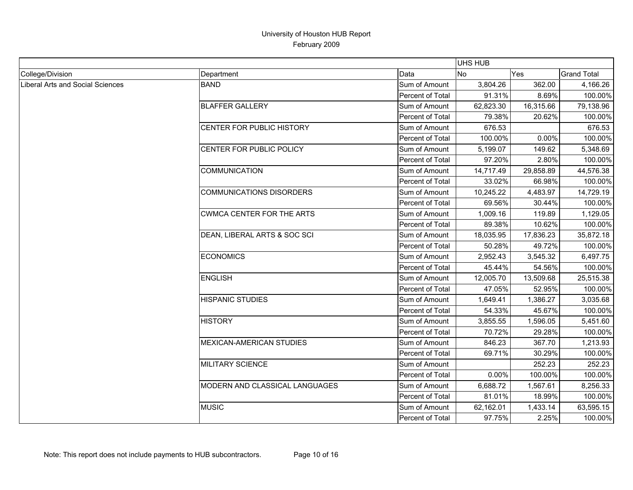|                                  |                                  |                         | <b>UHS HUB</b> |           |                    |
|----------------------------------|----------------------------------|-------------------------|----------------|-----------|--------------------|
| College/Division                 | Department                       | Data                    | <b>No</b>      | Yes       | <b>Grand Total</b> |
| Liberal Arts and Social Sciences | <b>BAND</b>                      | Sum of Amount           | 3,804.26       | 362.00    | 4,166.26           |
|                                  |                                  | Percent of Total        | 91.31%         | 8.69%     | 100.00%            |
|                                  | <b>BLAFFER GALLERY</b>           | Sum of Amount           | 62,823.30      | 16,315.66 | 79,138.96          |
|                                  |                                  | Percent of Total        | 79.38%         | 20.62%    | 100.00%            |
|                                  | CENTER FOR PUBLIC HISTORY        | Sum of Amount           | 676.53         |           | 676.53             |
|                                  |                                  | Percent of Total        | 100.00%        | 0.00%     | 100.00%            |
|                                  | CENTER FOR PUBLIC POLICY         | Sum of Amount           | 5,199.07       | 149.62    | 5,348.69           |
|                                  |                                  | Percent of Total        | 97.20%         | 2.80%     | 100.00%            |
|                                  | <b>COMMUNICATION</b>             | Sum of Amount           | 14,717.49      | 29,858.89 | 44,576.38          |
|                                  |                                  | <b>Percent of Total</b> | 33.02%         | 66.98%    | 100.00%            |
|                                  | <b>COMMUNICATIONS DISORDERS</b>  | Sum of Amount           | 10,245.22      | 4,483.97  | 14,729.19          |
|                                  |                                  | Percent of Total        | 69.56%         | 30.44%    | 100.00%            |
|                                  | <b>CWMCA CENTER FOR THE ARTS</b> | Sum of Amount           | 1,009.16       | 119.89    | 1,129.05           |
|                                  |                                  | <b>Percent of Total</b> | 89.38%         | 10.62%    | 100.00%            |
|                                  | DEAN, LIBERAL ARTS & SOC SCI     | Sum of Amount           | 18,035.95      | 17,836.23 | 35,872.18          |
|                                  |                                  | Percent of Total        | 50.28%         | 49.72%    | 100.00%            |
|                                  | <b>ECONOMICS</b>                 | Sum of Amount           | 2,952.43       | 3,545.32  | 6,497.75           |
|                                  |                                  | Percent of Total        | 45.44%         | 54.56%    | 100.00%            |
|                                  | <b>ENGLISH</b>                   | Sum of Amount           | 12,005.70      | 13,509.68 | 25,515.38          |
|                                  |                                  | Percent of Total        | 47.05%         | 52.95%    | 100.00%            |
|                                  | <b>HISPANIC STUDIES</b>          | Sum of Amount           | 1,649.41       | 1.386.27  | 3,035.68           |
|                                  |                                  | Percent of Total        | 54.33%         | 45.67%    | 100.00%            |
|                                  | <b>HISTORY</b>                   | Sum of Amount           | 3,855.55       | 1,596.05  | 5,451.60           |
|                                  |                                  | Percent of Total        | 70.72%         | 29.28%    | 100.00%            |
|                                  | <b>MEXICAN-AMERICAN STUDIES</b>  | Sum of Amount           | 846.23         | 367.70    | 1,213.93           |
|                                  |                                  | Percent of Total        | 69.71%         | 30.29%    | 100.00%            |
|                                  | MILITARY SCIENCE                 | Sum of Amount           |                | 252.23    | 252.23             |
|                                  |                                  | Percent of Total        | 0.00%          | 100.00%   | 100.00%            |
|                                  | MODERN AND CLASSICAL LANGUAGES   | Sum of Amount           | 6,688.72       | 1,567.61  | 8,256.33           |
|                                  |                                  | Percent of Total        | 81.01%         | 18.99%    | 100.00%            |
|                                  | <b>MUSIC</b>                     | Sum of Amount           | 62,162.01      | 1,433.14  | 63,595.15          |
|                                  |                                  | Percent of Total        | 97.75%         | 2.25%     | 100.00%            |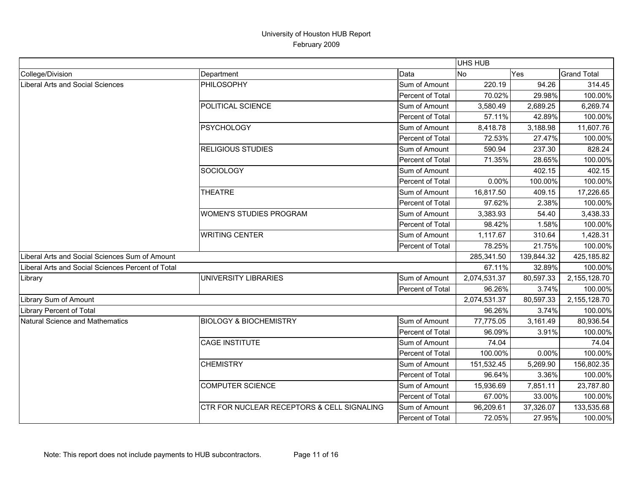|                                                   |                                            |                  | <b>UHS HUB</b> |            |                    |
|---------------------------------------------------|--------------------------------------------|------------------|----------------|------------|--------------------|
| College/Division                                  | Department                                 | Data             | <b>No</b>      | Yes        | <b>Grand Total</b> |
| Liberal Arts and Social Sciences                  | PHILOSOPHY                                 | Sum of Amount    | 220.19         | 94.26      | 314.45             |
|                                                   |                                            | Percent of Total | 70.02%         | 29.98%     | 100.00%            |
|                                                   | POLITICAL SCIENCE                          | Sum of Amount    | 3,580.49       | 2,689.25   | 6,269.74           |
|                                                   |                                            | Percent of Total | 57.11%         | 42.89%     | 100.00%            |
|                                                   | <b>PSYCHOLOGY</b>                          | Sum of Amount    | 8,418.78       | 3,188.98   | 11,607.76          |
|                                                   |                                            | Percent of Total | 72.53%         | 27.47%     | 100.00%            |
|                                                   | <b>RELIGIOUS STUDIES</b>                   | Sum of Amount    | 590.94         | 237.30     | 828.24             |
|                                                   |                                            | Percent of Total | 71.35%         | 28.65%     | 100.00%            |
|                                                   | <b>SOCIOLOGY</b>                           | Sum of Amount    |                | 402.15     | 402.15             |
|                                                   |                                            | Percent of Total | 0.00%          | 100.00%    | 100.00%            |
|                                                   | <b>THEATRE</b>                             | Sum of Amount    | 16,817.50      | 409.15     | 17,226.65          |
|                                                   |                                            | Percent of Total | 97.62%         | 2.38%      | 100.00%            |
|                                                   | <b>WOMEN'S STUDIES PROGRAM</b>             | Sum of Amount    | 3,383.93       | 54.40      | 3,438.33           |
|                                                   |                                            | Percent of Total | 98.42%         | 1.58%      | 100.00%            |
|                                                   | <b>WRITING CENTER</b>                      | Sum of Amount    | 1,117.67       | 310.64     | 1,428.31           |
|                                                   |                                            | Percent of Total | 78.25%         | 21.75%     | 100.00%            |
| Liberal Arts and Social Sciences Sum of Amount    |                                            |                  | 285,341.50     | 139,844.32 | 425,185.82         |
| Liberal Arts and Social Sciences Percent of Total |                                            |                  | 67.11%         | 32.89%     | 100.00%            |
| Library                                           | UNIVERSITY LIBRARIES                       | Sum of Amount    | 2,074,531.37   | 80,597.33  | 2,155,128.70       |
|                                                   |                                            | Percent of Total | 96.26%         | 3.74%      | 100.00%            |
| Library Sum of Amount                             |                                            |                  | 2,074,531.37   | 80,597.33  | 2,155,128.70       |
| Library Percent of Total                          |                                            |                  | 96.26%         | 3.74%      | 100.00%            |
| Natural Science and Mathematics                   | <b>BIOLOGY &amp; BIOCHEMISTRY</b>          | Sum of Amount    | 77,775.05      | 3,161.49   | 80,936.54          |
|                                                   |                                            | Percent of Total | 96.09%         | 3.91%      | 100.00%            |
|                                                   | <b>CAGE INSTITUTE</b>                      | Sum of Amount    | 74.04          |            | 74.04              |
|                                                   |                                            | Percent of Total | 100.00%        | 0.00%      | 100.00%            |
|                                                   | <b>CHEMISTRY</b>                           | Sum of Amount    | 151,532.45     | 5,269.90   | 156,802.35         |
|                                                   |                                            | Percent of Total | 96.64%         | 3.36%      | 100.00%            |
|                                                   | <b>COMPUTER SCIENCE</b>                    | Sum of Amount    | 15,936.69      | 7,851.11   | 23,787.80          |
|                                                   |                                            | Percent of Total | 67.00%         | 33.00%     | 100.00%            |
|                                                   | CTR FOR NUCLEAR RECEPTORS & CELL SIGNALING | Sum of Amount    | 96,209.61      | 37,326.07  | 133,535.68         |
|                                                   |                                            | Percent of Total | 72.05%         | 27.95%     | 100.00%            |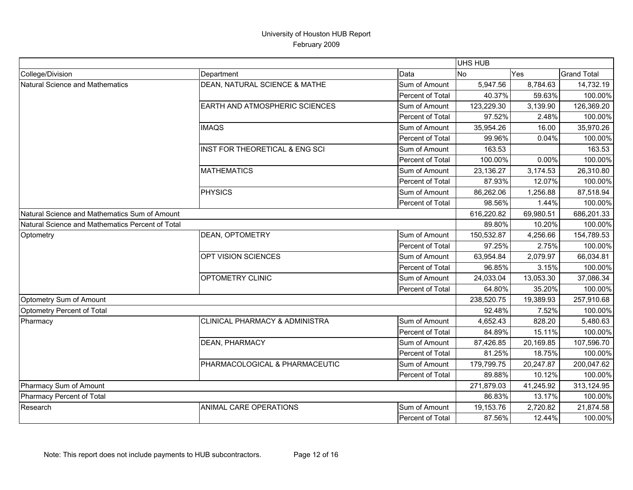|                                                  |                                       |                  | <b>UHS HUB</b> |            |                    |
|--------------------------------------------------|---------------------------------------|------------------|----------------|------------|--------------------|
| College/Division                                 | Department                            | Data             | <b>No</b>      | Yes        | <b>Grand Total</b> |
| Natural Science and Mathematics                  | DEAN, NATURAL SCIENCE & MATHE         | Sum of Amount    | 5,947.56       | 8,784.63   | 14,732.19          |
|                                                  |                                       | Percent of Total | 40.37%         | 59.63%     | 100.00%            |
|                                                  | <b>EARTH AND ATMOSPHERIC SCIENCES</b> | Sum of Amount    | 123,229.30     | 3,139.90   | 126,369.20         |
|                                                  |                                       | Percent of Total | 97.52%         | 2.48%      | 100.00%            |
|                                                  | <b>IMAQS</b>                          | Sum of Amount    | 35,954.26      | 16.00      | 35,970.26          |
|                                                  |                                       | Percent of Total | 99.96%         | 0.04%      | 100.00%            |
|                                                  | INST FOR THEORETICAL & ENG SCI        | Sum of Amount    | 163.53         |            | 163.53             |
|                                                  |                                       | Percent of Total | 100.00%        | 0.00%      | 100.00%            |
|                                                  | <b>MATHEMATICS</b>                    | Sum of Amount    | 23,136.27      | 3,174.53   | 26,310.80          |
|                                                  |                                       | Percent of Total | 87.93%         | 12.07%     | 100.00%            |
|                                                  | <b>PHYSICS</b>                        | Sum of Amount    | 86,262.06      | 1,256.88   | 87,518.94          |
|                                                  |                                       | Percent of Total | 98.56%         | 1.44%      | 100.00%            |
| Natural Science and Mathematics Sum of Amount    |                                       | 616,220.82       | 69,980.51      | 686,201.33 |                    |
| Natural Science and Mathematics Percent of Total |                                       |                  | 89.80%         | 10.20%     | 100.00%            |
| Optometry                                        | DEAN, OPTOMETRY                       | Sum of Amount    | 150,532.87     | 4,256.66   | 154,789.53         |
|                                                  |                                       | Percent of Total | 97.25%         | 2.75%      | 100.00%            |
|                                                  | OPT VISION SCIENCES                   | Sum of Amount    | 63,954.84      | 2,079.97   | 66,034.81          |
|                                                  |                                       | Percent of Total | 96.85%         | 3.15%      | 100.00%            |
|                                                  | OPTOMETRY CLINIC                      | Sum of Amount    | 24,033.04      | 13,053.30  | 37,086.34          |
|                                                  |                                       | Percent of Total | 64.80%         | 35.20%     | 100.00%            |
| Optometry Sum of Amount                          |                                       |                  | 238,520.75     | 19,389.93  | 257,910.68         |
| Optometry Percent of Total                       |                                       |                  | 92.48%         | 7.52%      | 100.00%            |
| Pharmacy                                         | CLINICAL PHARMACY & ADMINISTRA        | Sum of Amount    | 4,652.43       | 828.20     | 5,480.63           |
|                                                  |                                       | Percent of Total | 84.89%         | 15.11%     | 100.00%            |
|                                                  | <b>DEAN, PHARMACY</b>                 | Sum of Amount    | 87,426.85      | 20,169.85  | 107,596.70         |
|                                                  |                                       | Percent of Total | 81.25%         | 18.75%     | 100.00%            |
|                                                  | PHARMACOLOGICAL & PHARMACEUTIC        | Sum of Amount    | 179,799.75     | 20,247.87  | 200,047.62         |
|                                                  |                                       | Percent of Total | 89.88%         | 10.12%     | 100.00%            |
| Pharmacy Sum of Amount                           |                                       |                  | 271,879.03     | 41,245.92  | 313,124.95         |
| Pharmacy Percent of Total                        |                                       |                  | 86.83%         | 13.17%     | 100.00%            |
| Research                                         | ANIMAL CARE OPERATIONS                | Sum of Amount    | 19,153.76      | 2,720.82   | 21,874.58          |
|                                                  |                                       | Percent of Total | 87.56%         | 12.44%     | 100.00%            |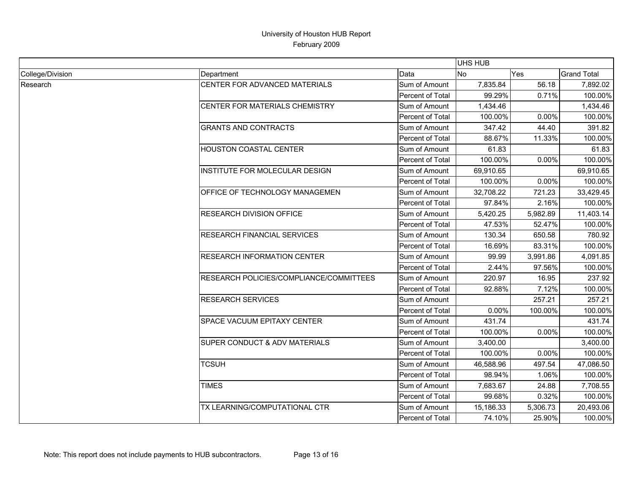|                  |                                         |                         | <b>UHS HUB</b> |          |                    |
|------------------|-----------------------------------------|-------------------------|----------------|----------|--------------------|
| College/Division | Department                              | Data                    | <b>No</b>      | Yes      | <b>Grand Total</b> |
| Research         | CENTER FOR ADVANCED MATERIALS           | Sum of Amount           | 7,835.84       | 56.18    | 7,892.02           |
|                  |                                         | Percent of Total        | 99.29%         | 0.71%    | 100.00%            |
|                  | CENTER FOR MATERIALS CHEMISTRY          | Sum of Amount           | 1,434.46       |          | 1,434.46           |
|                  |                                         | Percent of Total        | 100.00%        | 0.00%    | 100.00%            |
|                  | <b>GRANTS AND CONTRACTS</b>             | Sum of Amount           | 347.42         | 44.40    | 391.82             |
|                  |                                         | Percent of Total        | 88.67%         | 11.33%   | 100.00%            |
|                  | HOUSTON COASTAL CENTER                  | Sum of Amount           | 61.83          |          | 61.83              |
|                  |                                         | <b>Percent of Total</b> | 100.00%        | 0.00%    | 100.00%            |
|                  | INSTITUTE FOR MOLECULAR DESIGN          | Sum of Amount           | 69,910.65      |          | 69,910.65          |
|                  |                                         | Percent of Total        | 100.00%        | 0.00%    | 100.00%            |
|                  | OFFICE OF TECHNOLOGY MANAGEMEN          | Sum of Amount           | 32,708.22      | 721.23   | 33,429.45          |
|                  |                                         | Percent of Total        | 97.84%         | 2.16%    | 100.00%            |
|                  | <b>RESEARCH DIVISION OFFICE</b>         | Sum of Amount           | 5,420.25       | 5,982.89 | 11,403.14          |
|                  |                                         | Percent of Total        | 47.53%         | 52.47%   | 100.00%            |
|                  | RESEARCH FINANCIAL SERVICES             | Sum of Amount           | 130.34         | 650.58   | 780.92             |
|                  |                                         | Percent of Total        | 16.69%         | 83.31%   | 100.00%            |
|                  | RESEARCH INFORMATION CENTER             | Sum of Amount           | 99.99          | 3,991.86 | 4,091.85           |
|                  |                                         | Percent of Total        | 2.44%          | 97.56%   | 100.00%            |
|                  | RESEARCH POLICIES/COMPLIANCE/COMMITTEES | Sum of Amount           | 220.97         | 16.95    | 237.92             |
|                  |                                         | Percent of Total        | 92.88%         | 7.12%    | 100.00%            |
|                  | <b>RESEARCH SERVICES</b>                | Sum of Amount           |                | 257.21   | 257.21             |
|                  |                                         | Percent of Total        | 0.00%          | 100.00%  | 100.00%            |
|                  | SPACE VACUUM EPITAXY CENTER             | Sum of Amount           | 431.74         |          | 431.74             |
|                  |                                         | Percent of Total        | 100.00%        | 0.00%    | 100.00%            |
|                  | SUPER CONDUCT & ADV MATERIALS           | Sum of Amount           | 3,400.00       |          | 3,400.00           |
|                  |                                         | Percent of Total        | 100.00%        | 0.00%    | 100.00%            |
|                  | <b>TCSUH</b>                            | Sum of Amount           | 46,588.96      | 497.54   | 47,086.50          |
|                  |                                         | Percent of Total        | 98.94%         | 1.06%    | 100.00%            |
|                  | <b>TIMES</b>                            | Sum of Amount           | 7,683.67       | 24.88    | 7,708.55           |
|                  |                                         | Percent of Total        | 99.68%         | 0.32%    | 100.00%            |
|                  | TX LEARNING/COMPUTATIONAL CTR           | Sum of Amount           | 15,186.33      | 5,306.73 | 20,493.06          |
|                  |                                         | Percent of Total        | 74.10%         | 25.90%   | 100.00%            |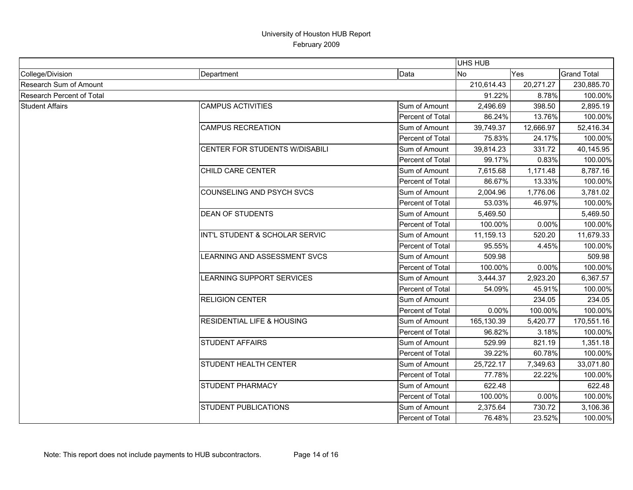|                           |                                       |                         | <b>UHS HUB</b> |           |                    |
|---------------------------|---------------------------------------|-------------------------|----------------|-----------|--------------------|
| College/Division          | Department                            | Data                    | N <sub>o</sub> | Yes       | <b>Grand Total</b> |
| Research Sum of Amount    |                                       |                         | 210,614.43     | 20,271.27 | 230,885.70         |
| Research Percent of Total |                                       |                         | 91.22%         | 8.78%     | 100.00%            |
| <b>Student Affairs</b>    | <b>CAMPUS ACTIVITIES</b>              | Sum of Amount           | 2,496.69       | 398.50    | 2,895.19           |
|                           |                                       | Percent of Total        | 86.24%         | 13.76%    | 100.00%            |
|                           | <b>CAMPUS RECREATION</b>              | Sum of Amount           | 39,749.37      | 12,666.97 | 52,416.34          |
|                           |                                       | Percent of Total        | 75.83%         | 24.17%    | 100.00%            |
|                           | CENTER FOR STUDENTS W/DISABILI        | Sum of Amount           | 39,814.23      | 331.72    | 40,145.95          |
|                           |                                       | Percent of Total        | 99.17%         | 0.83%     | 100.00%            |
|                           | <b>CHILD CARE CENTER</b>              | Sum of Amount           | 7,615.68       | 1,171.48  | 8,787.16           |
|                           |                                       | Percent of Total        | 86.67%         | 13.33%    | 100.00%            |
|                           | COUNSELING AND PSYCH SVCS             | Sum of Amount           | 2,004.96       | 1,776.06  | 3,781.02           |
|                           |                                       | Percent of Total        | 53.03%         | 46.97%    | 100.00%            |
|                           | <b>DEAN OF STUDENTS</b>               | Sum of Amount           | 5,469.50       |           | 5,469.50           |
|                           |                                       | Percent of Total        | 100.00%        | 0.00%     | 100.00%            |
|                           | INT'L STUDENT & SCHOLAR SERVIC        | Sum of Amount           | 11,159.13      | 520.20    | 11,679.33          |
|                           |                                       | <b>Percent of Total</b> | 95.55%         | 4.45%     | 100.00%            |
|                           | LEARNING AND ASSESSMENT SVCS          | Sum of Amount           | 509.98         |           | 509.98             |
|                           |                                       | Percent of Total        | 100.00%        | 0.00%     | 100.00%            |
|                           | LEARNING SUPPORT SERVICES             | Sum of Amount           | 3,444.37       | 2,923.20  | 6,367.57           |
|                           |                                       | <b>Percent of Total</b> | 54.09%         | 45.91%    | 100.00%            |
|                           | <b>RELIGION CENTER</b>                | Sum of Amount           |                | 234.05    | 234.05             |
|                           |                                       | Percent of Total        | 0.00%          | 100.00%   | 100.00%            |
|                           | <b>RESIDENTIAL LIFE &amp; HOUSING</b> | Sum of Amount           | 165,130.39     | 5,420.77  | 170,551.16         |
|                           |                                       | Percent of Total        | 96.82%         | 3.18%     | 100.00%            |
|                           | <b>STUDENT AFFAIRS</b>                | Sum of Amount           | 529.99         | 821.19    | 1,351.18           |
|                           |                                       | Percent of Total        | 39.22%         | 60.78%    | 100.00%            |
|                           | <b>STUDENT HEALTH CENTER</b>          | Sum of Amount           | 25,722.17      | 7,349.63  | 33,071.80          |
|                           |                                       | Percent of Total        | 77.78%         | 22.22%    | 100.00%            |
|                           | <b>STUDENT PHARMACY</b>               | Sum of Amount           | 622.48         |           | 622.48             |
|                           |                                       | Percent of Total        | 100.00%        | 0.00%     | 100.00%            |
|                           | <b>STUDENT PUBLICATIONS</b>           | Sum of Amount           | 2,375.64       | 730.72    | 3,106.36           |
|                           |                                       | Percent of Total        | 76.48%         | 23.52%    | 100.00%            |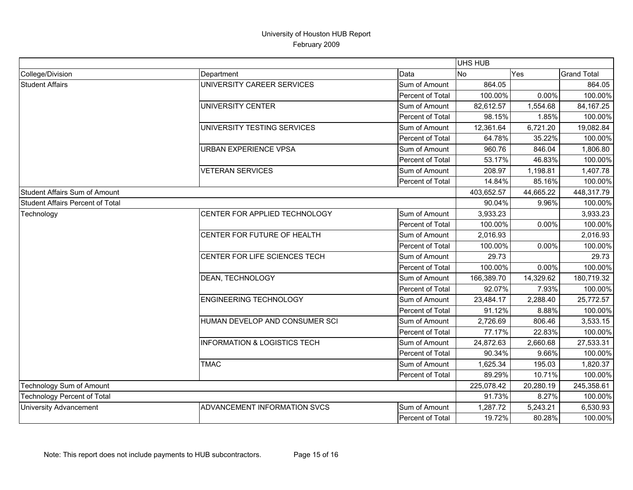|                                    |                                         |                  | UHS HUB    |            |                    |
|------------------------------------|-----------------------------------------|------------------|------------|------------|--------------------|
| College/Division                   | Department                              | Data             | <b>No</b>  | Yes        | <b>Grand Total</b> |
| <b>Student Affairs</b>             | UNIVERSITY CAREER SERVICES              | Sum of Amount    | 864.05     |            | 864.05             |
|                                    |                                         | Percent of Total | 100.00%    | 0.00%      | 100.00%            |
|                                    | <b>UNIVERSITY CENTER</b>                | Sum of Amount    | 82,612.57  | 1,554.68   | 84, 167. 25        |
|                                    |                                         | Percent of Total | 98.15%     | 1.85%      | 100.00%            |
|                                    | UNIVERSITY TESTING SERVICES             | Sum of Amount    | 12,361.64  | 6,721.20   | 19,082.84          |
|                                    |                                         | Percent of Total | 64.78%     | 35.22%     | 100.00%            |
|                                    | URBAN EXPERIENCE VPSA                   | Sum of Amount    | 960.76     | 846.04     | 1,806.80           |
|                                    |                                         | Percent of Total | 53.17%     | 46.83%     | 100.00%            |
|                                    | <b>VETERAN SERVICES</b>                 | Sum of Amount    | 208.97     | 1,198.81   | 1,407.78           |
|                                    |                                         | Percent of Total | 14.84%     | 85.16%     | 100.00%            |
| Student Affairs Sum of Amount      |                                         |                  | 403,652.57 | 44,665.22  | 448,317.79         |
| Student Affairs Percent of Total   |                                         |                  | 90.04%     | 9.96%      | 100.00%            |
| Technology                         | CENTER FOR APPLIED TECHNOLOGY           | Sum of Amount    | 3,933.23   |            | 3,933.23           |
|                                    |                                         | Percent of Total | 100.00%    | 0.00%      | 100.00%            |
|                                    | CENTER FOR FUTURE OF HEALTH             | Sum of Amount    | 2,016.93   |            | 2,016.93           |
|                                    |                                         | Percent of Total | 100.00%    | 0.00%      | 100.00%            |
|                                    | CENTER FOR LIFE SCIENCES TECH           | Sum of Amount    | 29.73      |            | 29.73              |
|                                    |                                         | Percent of Total | 100.00%    | 0.00%      | 100.00%            |
|                                    | DEAN, TECHNOLOGY                        | Sum of Amount    | 166,389.70 | 14,329.62  | 180,719.32         |
|                                    |                                         | Percent of Total | 92.07%     | 7.93%      | 100.00%            |
|                                    | <b>ENGINEERING TECHNOLOGY</b>           | Sum of Amount    | 23,484.17  | 2,288.40   | 25,772.57          |
|                                    |                                         | Percent of Total | 91.12%     | 8.88%      | 100.00%            |
|                                    | HUMAN DEVELOP AND CONSUMER SCI          | Sum of Amount    | 2,726.69   | 806.46     | 3,533.15           |
|                                    |                                         | Percent of Total | 77.17%     | 22.83%     | 100.00%            |
|                                    | <b>INFORMATION &amp; LOGISTICS TECH</b> | Sum of Amount    | 24,872.63  | 2,660.68   | 27,533.31          |
|                                    |                                         | Percent of Total | 90.34%     | 9.66%      | 100.00%            |
|                                    | <b>TMAC</b>                             | Sum of Amount    | 1,625.34   | 195.03     | 1,820.37           |
|                                    |                                         | Percent of Total | 89.29%     | 10.71%     | 100.00%            |
| Technology Sum of Amount           |                                         | 225,078.42       | 20,280.19  | 245,358.61 |                    |
| <b>Technology Percent of Total</b> |                                         | 91.73%           | 8.27%      | 100.00%    |                    |
| <b>University Advancement</b>      | ADVANCEMENT INFORMATION SVCS            | Sum of Amount    | 1,287.72   | 5,243.21   | 6,530.93           |
|                                    |                                         | Percent of Total | 19.72%     | 80.28%     | 100.00%            |